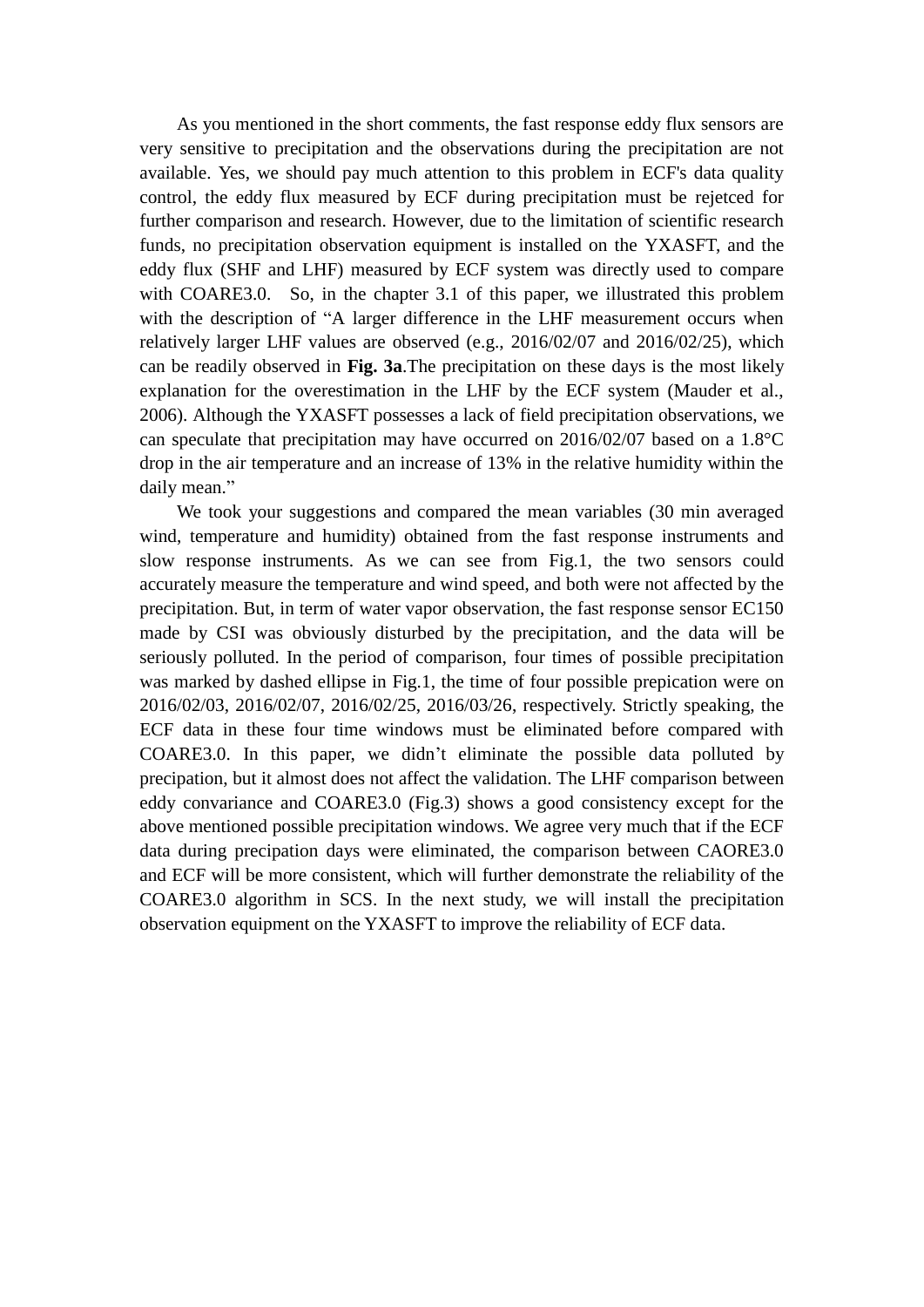As you mentioned in the short comments, the fast response eddy flux sensors are very sensitive to precipitation and the observations during the precipitation are not available. Yes, we should pay much attention to this problem in ECF's data quality control, the eddy flux measured by ECF during precipitation must be rejetced for further comparison and research. However, due to the limitation of scientific research funds, no precipitation observation equipment is installed on the YXASFT, and the eddy flux (SHF and LHF) measured by ECF system was directly used to compare with COARE3.0. So, in the chapter 3.1 of this paper, we illustrated this problem with the description of "A larger difference in the LHF measurement occurs when relatively larger LHF values are observed (e.g., 2016/02/07 and 2016/02/25), which can be readily observed in **Fig. 3a**.The precipitation on these days is the most likely explanation for the overestimation in the LHF by the ECF system (Mauder et al., 2006). Although the YXASFT possesses a lack of field precipitation observations, we can speculate that precipitation may have occurred on 2016/02/07 based on a 1.8  $\mathbb{C}$ drop in the air temperature and an increase of 13% in the relative humidity within the daily mean."

We took your suggestions and compared the mean variables (30 min averaged wind, temperature and humidity) obtained from the fast response instruments and slow response instruments. As we can see from Fig.1, the two sensors could accurately measure the temperature and wind speed, and both were not affected by the precipitation. But, in term of water vapor observation, the fast response sensor EC150 made by CSI was obviously disturbed by the precipitation, and the data will be seriously polluted. In the period of comparison, four times of possible precipitation was marked by dashed ellipse in Fig.1, the time of four possible prepication were on 2016/02/03, 2016/02/07, 2016/02/25, 2016/03/26, respectively. Strictly speaking, the ECF data in these four time windows must be eliminated before compared with COARE3.0. In this paper, we didn't eliminate the possible data polluted by precipation, but it almost does not affect the validation. The LHF comparison between eddy convariance and COARE3.0 (Fig.3) shows a good consistency except for the above mentioned possible precipitation windows. We agree very much that if the ECF data during precipation days were eliminated, the comparison between CAORE3.0 and ECF will be more consistent, which will further demonstrate the reliability of the COARE3.0 algorithm in SCS. In the next study, we will install the precipitation observation equipment on the YXASFT to improve the reliability of ECF data.